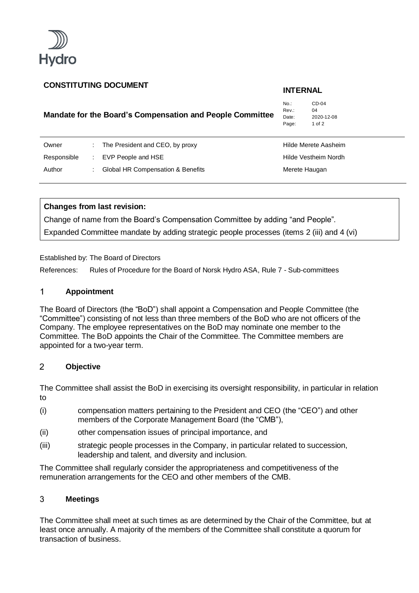

# **CONSTITUTING DOCUMENT INTERNAL**

# **Mandate for the Board's Compensation and People Committee**

No.: CD-04 Rev.: 04<br>Date: 20 2020-12-08 Page: 1 of 2

| Owner       | The President and CEO, by proxy   | Hilde Merete Aasheim |
|-------------|-----------------------------------|----------------------|
| Responsible | EVP People and HSE                | Hilde Vestheim Nordh |
| Author      | Global HR Compensation & Benefits | Merete Haugan        |

## **Changes from last revision:**

Change of name from the Board's Compensation Committee by adding "and People". Expanded Committee mandate by adding strategic people processes (items 2 (iii) and 4 (vi)

Established by: The Board of Directors

References: Rules of Procedure for the Board of Norsk Hydro ASA, Rule 7 - Sub-committees

## $\mathbf{1}$ **Appointment**

The Board of Directors (the "BoD") shall appoint a Compensation and People Committee (the "Committee") consisting of not less than three members of the BoD who are not officers of the Company. The employee representatives on the BoD may nominate one member to the Committee. The BoD appoints the Chair of the Committee. The Committee members are appointed for a two-year term.

## $\overline{2}$ **Objective**

The Committee shall assist the BoD in exercising its oversight responsibility, in particular in relation to

- (i) compensation matters pertaining to the President and CEO (the "CEO") and other members of the Corporate Management Board (the "CMB"),
- (ii) other compensation issues of principal importance, and
- (iii) strategic people processes in the Company, in particular related to succession, leadership and talent, and diversity and inclusion.

The Committee shall regularly consider the appropriateness and competitiveness of the remuneration arrangements for the CEO and other members of the CMB.

## 3 **Meetings**

The Committee shall meet at such times as are determined by the Chair of the Committee, but at least once annually. A majority of the members of the Committee shall constitute a quorum for transaction of business.